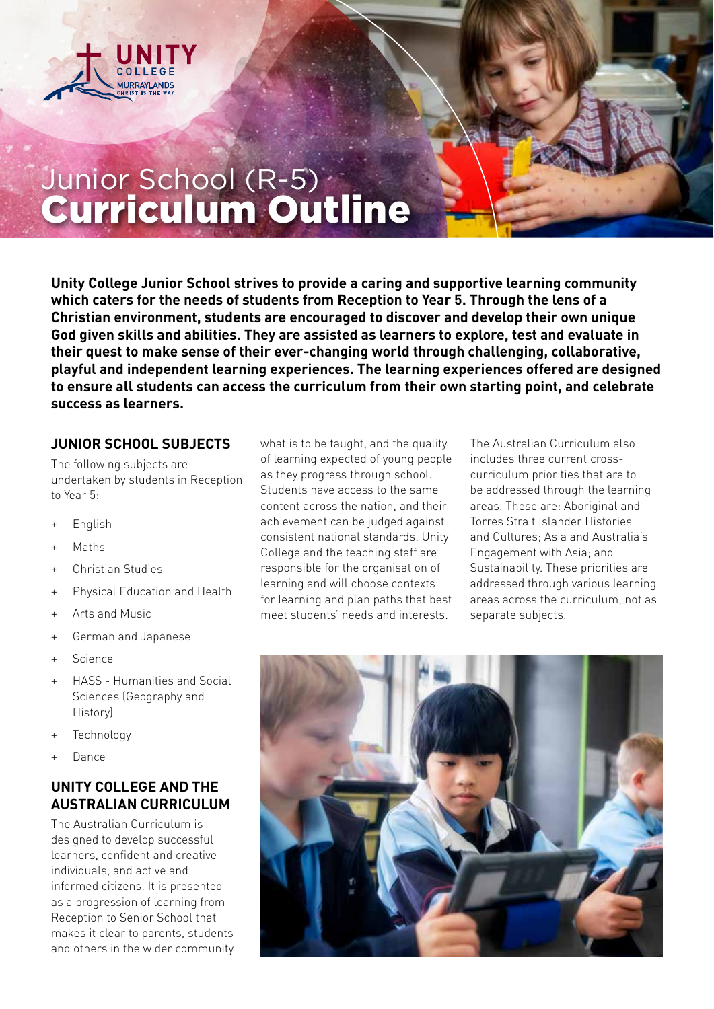

## Junior School (R-5) Curriculum Outline

**Unity College Junior School strives to provide a caring and supportive learning community which caters for the needs of students from Reception to Year 5. Through the lens of a Christian environment, students are encouraged to discover and develop their own unique God given skills and abilities. They are assisted as learners to explore, test and evaluate in their quest to make sense of their ever-changing world through challenging, collaborative, playful and independent learning experiences. The learning experiences offered are designed to ensure all students can access the curriculum from their own starting point, and celebrate success as learners.**

## **JUNIOR SCHOOL SUBJECTS**

The following subjects are undertaken by students in Reception to Year 5:

- + English
- + Maths
- + Christian Studies
- + Physical Education and Health
- + Arts and Music
- + German and Japanese
- + Science
- + HASS Humanities and Social Sciences (Geography and History)
- + Technology
- Dance

## **UNITY COLLEGE AND THE AUSTRALIAN CURRICULUM**

The Australian Curriculum is designed to develop successful learners, confident and creative individuals, and active and informed citizens. It is presented as a progression of learning from Reception to Senior School that makes it clear to parents, students and others in the wider community

what is to be taught, and the quality of learning expected of young people as they progress through school. Students have access to the same content across the nation, and their achievement can be judged against consistent national standards. Unity College and the teaching staff are responsible for the organisation of learning and will choose contexts for learning and plan paths that best meet students' needs and interests.

The Australian Curriculum also includes three current crosscurriculum priorities that are to be addressed through the learning areas. These are: Aboriginal and Torres Strait Islander Histories and Cultures; Asia and Australia's Engagement with Asia; and Sustainability. These priorities are addressed through various learning areas across the curriculum, not as separate subjects.